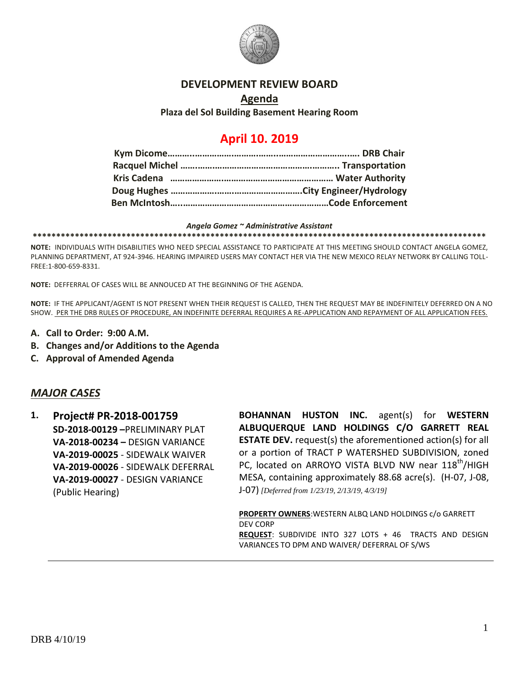

### **DEVELOPMENT REVIEW BOARD**

### **Agenda Plaza del Sol Building Basement Hearing Room**

# **April 10. 2019**

#### *Angela Gomez ~ Administrative Assistant*

**\*\*\*\*\*\*\*\*\*\*\*\*\*\*\*\*\*\*\*\*\*\*\*\*\*\*\*\*\*\*\*\*\*\*\*\*\*\*\*\*\*\*\*\*\*\*\*\*\*\*\*\*\*\*\*\*\*\*\*\*\*\*\*\*\*\*\*\*\*\*\*\*\*\*\*\*\*\*\*\*\*\*\*\*\*\*\*\*\*\*\*\*\*\*\*\*\***

**NOTE:** INDIVIDUALS WITH DISABILITIES WHO NEED SPECIAL ASSISTANCE TO PARTICIPATE AT THIS MEETING SHOULD CONTACT ANGELA GOMEZ, PLANNING DEPARTMENT, AT 924-3946. HEARING IMPAIRED USERS MAY CONTACT HER VIA THE NEW MEXICO RELAY NETWORK BY CALLING TOLL-FREE:1-800-659-8331.

**NOTE:** DEFFERRAL OF CASES WILL BE ANNOUCED AT THE BEGINNING OF THE AGENDA.

**NOTE:** IF THE APPLICANT/AGENT IS NOT PRESENT WHEN THEIR REQUEST IS CALLED, THEN THE REQUEST MAY BE INDEFINITELY DEFERRED ON A NO SHOW. PER THE DRB RULES OF PROCEDURE, AN INDEFINITE DEFERRAL REQUIRES A RE-APPLICATION AND REPAYMENT OF ALL APPLICATION FEES.

- **A. Call to Order: 9:00 A.M.**
- **B. Changes and/or Additions to the Agenda**
- **C. Approval of Amended Agenda**

### *MAJOR CASES*

**1. Project# PR-2018-001759 SD-2018-00129 –**PRELIMINARY PLAT **VA-2018-00234 –** DESIGN VARIANCE **VA-2019-00025** - SIDEWALK WAIVER **VA-2019-00026** - SIDEWALK DEFERRAL **VA-2019-00027** - DESIGN VARIANCE (Public Hearing)

**BOHANNAN HUSTON INC.** agent(s) for **WESTERN ALBUQUERQUE LAND HOLDINGS C/O GARRETT REAL ESTATE DEV.** request(s) the aforementioned action(s) for all or a portion of TRACT P WATERSHED SUBDIVISION, zoned PC, located on ARROYO VISTA BLVD NW near 118<sup>th</sup>/HIGH MESA, containing approximately 88.68 acre(s). (H-07, J-08, J-07) *[Deferred from 1/23/19, 2/13/19, 4/3/19]*

**PROPERTY OWNERS**:WESTERN ALBQ LAND HOLDINGS c/o GARRETT DEV CORP **REQUEST**: SUBDIVIDE INTO 327 LOTS + 46 TRACTS AND DESIGN VARIANCES TO DPM AND WAIVER/ DEFERRAL OF S/WS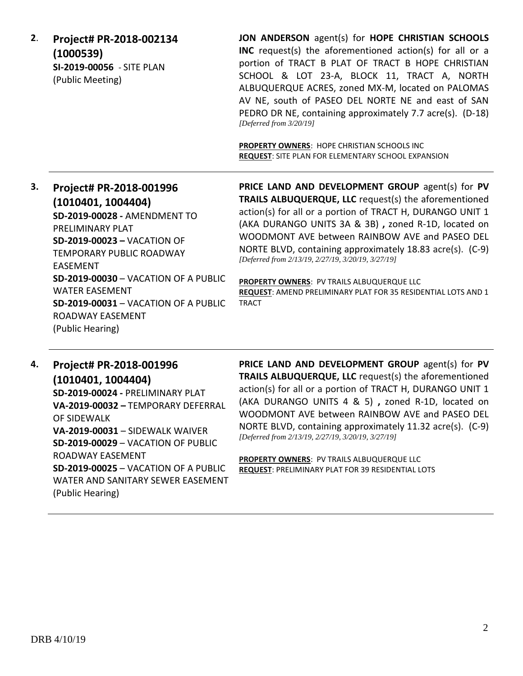**2**. **Project# PR-2018-002134 (1000539) SI-2019-00056** - SITE PLAN (Public Meeting)

**JON ANDERSON** agent(s) for **HOPE CHRISTIAN SCHOOLS INC** request(s) the aforementioned action(s) for all or a portion of TRACT B PLAT OF TRACT B HOPE CHRISTIAN SCHOOL & LOT 23-A, BLOCK 11, TRACT A, NORTH ALBUQUERQUE ACRES, zoned MX-M, located on PALOMAS AV NE, south of PASEO DEL NORTE NE and east of SAN PEDRO DR NE, containing approximately 7.7 acre(s). (D-18) *[Deferred from 3/20/19]*

**PROPERTY OWNERS**: HOPE CHRISTIAN SCHOOLS INC **REQUEST**: SITE PLAN FOR ELEMENTARY SCHOOL EXPANSION

**3. Project# PR-2018-001996 (1010401, 1004404) SD-2019-00028 -** AMENDMENT TO PRELIMINARY PLAT **SD-2019-00023 –** VACATION OF TEMPORARY PUBLIC ROADWAY EASEMENT **SD-2019-00030** – VACATION OF A PUBLIC WATER EASEMENT **SD-2019-00031** – VACATION OF A PUBLIC ROADWAY EASEMENT (Public Hearing)

**PRICE LAND AND DEVELOPMENT GROUP** agent(s) for **PV TRAILS ALBUQUERQUE, LLC** request(s) the aforementioned action(s) for all or a portion of TRACT H, DURANGO UNIT 1 (AKA DURANGO UNITS 3A & 3B) **,** zoned R-1D, located on WOODMONT AVE between RAINBOW AVE and PASEO DEL NORTE BLVD, containing approximately 18.83 acre(s). (C-9) *[Deferred from 2/13/19, 2/27/19, 3/20/19, 3/27/19]*

**PROPERTY OWNERS**: PV TRAILS ALBUQUERQUE LLC **REQUEST**: AMEND PRELIMINARY PLAT FOR 35 RESIDENTIAL LOTS AND 1 **TRACT** 

# **4. Project# PR-2018-001996 (1010401, 1004404) SD-2019-00024 -** PRELIMINARY PLAT **VA-2019-00032 –** TEMPORARY DEFERRAL OF SIDEWALK **VA-2019-00031** – SIDEWALK WAIVER **SD-2019-00029** – VACATION OF PUBLIC ROADWAY EASEMENT **SD-2019-00025** – VACATION OF A PUBLIC

WATER AND SANITARY SEWER EASEMENT (Public Hearing)

**PRICE LAND AND DEVELOPMENT GROUP** agent(s) for **PV TRAILS ALBUQUERQUE, LLC** request(s) the aforementioned action(s) for all or a portion of TRACT H, DURANGO UNIT 1 (AKA DURANGO UNITS 4 & 5) **,** zoned R-1D, located on WOODMONT AVE between RAINBOW AVE and PASEO DEL NORTE BLVD, containing approximately 11.32 acre(s). (C-9) *[Deferred from 2/13/19, 2/27/19, 3/20/19, 3/27/19]*

**PROPERTY OWNERS**: PV TRAILS ALBUQUERQUE LLC **REQUEST**: PRELIMINARY PLAT FOR 39 RESIDENTIAL LOTS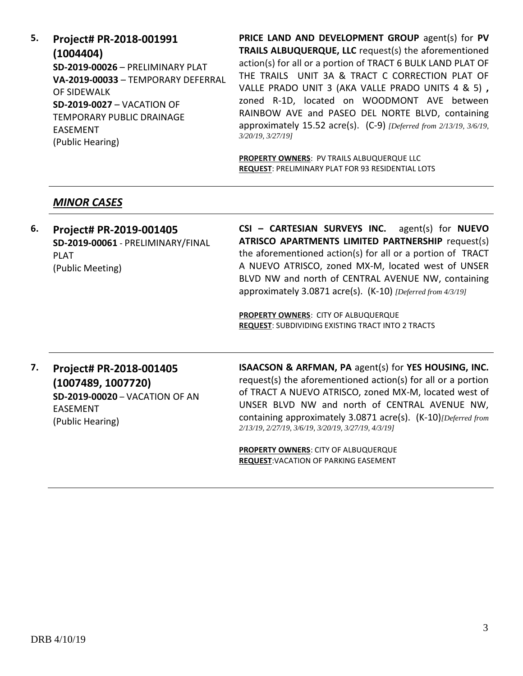**5. Project# PR-2018-001991 (1004404) SD-2019-00026** – PRELIMINARY PLAT **VA-2019-00033** – TEMPORARY DEFERRAL OF SIDEWALK **SD-2019-0027** – VACATION OF TEMPORARY PUBLIC DRAINAGE EASEMENT (Public Hearing)

**PRICE LAND AND DEVELOPMENT GROUP** agent(s) for **PV TRAILS ALBUQUERQUE, LLC** request(s) the aforementioned action(s) for all or a portion of TRACT 6 BULK LAND PLAT OF THE TRAILS UNIT 3A & TRACT C CORRECTION PLAT OF VALLE PRADO UNIT 3 (AKA VALLE PRADO UNITS 4 & 5) **,**  zoned R-1D, located on WOODMONT AVE between RAINBOW AVE and PASEO DEL NORTE BLVD, containing approximately 15.52 acre(s). (C-9) *[Deferred from 2/13/19, 3/6/19, 3/20/19, 3/27/19]*

**PROPERTY OWNERS**: PV TRAILS ALBUQUERQUE LLC **REQUEST**: PRELIMINARY PLAT FOR 93 RESIDENTIAL LOTS

### *MINOR CASES*

**6. Project# PR-2019-001405 SD-2019-00061** - PRELIMINARY/FINAL PLAT (Public Meeting)

**CSI – CARTESIAN SURVEYS INC.** agent(s) for **NUEVO ATRISCO APARTMENTS LIMITED PARTNERSHIP** request(s) the aforementioned action(s) for all or a portion of TRACT A NUEVO ATRISCO, zoned MX-M, located west of UNSER BLVD NW and north of CENTRAL AVENUE NW, containing approximately 3.0871 acre(s). (K-10) *[Deferred from 4/3/19]*

**PROPERTY OWNERS**: CITY OF ALBUQUERQUE **REQUEST**: SUBDIVIDING EXISTING TRACT INTO 2 TRACTS

**7. Project# PR-2018-001405 (1007489, 1007720) SD-2019-00020** – VACATION OF AN EASEMENT (Public Hearing)

**ISAACSON & ARFMAN, PA** agent(s) for **YES HOUSING, INC.** request(s) the aforementioned action(s) for all or a portion of TRACT A NUEVO ATRISCO, zoned MX-M, located west of UNSER BLVD NW and north of CENTRAL AVENUE NW, containing approximately 3.0871 acre(s). (K-10)*[Deferred from 2/13/19, 2/27/19, 3/6/19, 3/20/19, 3/27/19, 4/3/19]*

**PROPERTY OWNERS**: CITY OF ALBUQUERQUE **REQUEST**:VACATION OF PARKING EASEMENT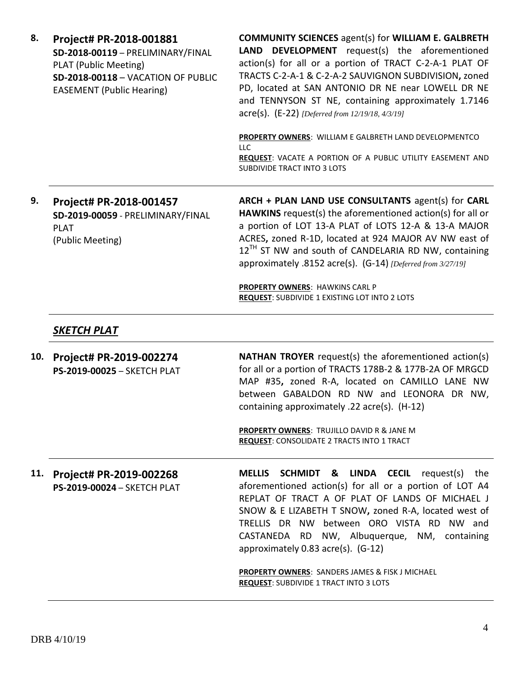**8. Project# PR-2018-001881 SD-2018-00119** – PRELIMINARY/FINAL PLAT (Public Meeting) **SD-2018-00118** – VACATION OF PUBLIC EASEMENT (Public Hearing) **COMMUNITY SCIENCES** agent(s) for **WILLIAM E. GALBRETH LAND DEVELOPMENT** request(s) the aforementioned action(s) for all or a portion of TRACT C-2-A-1 PLAT OF TRACTS C-2-A-1 & C-2-A-2 SAUVIGNON SUBDIVISION**,** zoned PD, located at SAN ANTONIO DR NE near LOWELL DR NE and TENNYSON ST NE, containing approximately 1.7146 acre(s). (E-22) *[Deferred from 12/19/18, 4/3/19]* **PROPERTY OWNERS**: WILLIAM E GALBRETH LAND DEVELOPMENTCO LLC **REQUEST**: VACATE A PORTION OF A PUBLIC UTILITY EASEMENT AND SUBDIVIDE TRACT INTO 3 LOTS **9. Project# PR-2018-001457 SD-2019-00059** - PRELIMINARY/FINAL PLAT (Public Meeting) **ARCH + PLAN LAND USE CONSULTANTS** agent(s) for **CARL HAWKINS** request(s) the aforementioned action(s) for all or a portion of LOT 13-A PLAT of LOTS 12-A & 13-A MAJOR ACRES**,** zoned R-1D, located at 924 MAJOR AV NW east of

> approximately .8152 acre(s). (G-14) *[Deferred from 3/27/19]* **PROPERTY OWNERS**: HAWKINS CARL P

 $12^{TH}$  ST NW and south of CANDELARIA RD NW, containing

**REQUEST**: SUBDIVIDE 1 EXISTING LOT INTO 2 LOTS

## *SKETCH PLAT*

**10. Project# PR-2019-002274 PS-2019-00025** – SKETCH PLAT **NATHAN TROYER** request(s) the aforementioned action(s) for all or a portion of TRACTS 178B-2 & 177B-2A OF MRGCD MAP #35**,** zoned R-A, located on CAMILLO LANE NW between GABALDON RD NW and LEONORA DR NW, containing approximately .22 acre(s). (H-12)

> **PROPERTY OWNERS**: TRUJILLO DAVID R & JANE M **REQUEST**: CONSOLIDATE 2 TRACTS INTO 1 TRACT

**11. Project# PR-2019-002268 PS-2019-00024** – SKETCH PLAT **MELLIS SCHMIDT & LINDA CECIL** request(s) the aforementioned action(s) for all or a portion of LOT A4 REPLAT OF TRACT A OF PLAT OF LANDS OF MICHAEL J SNOW & E LIZABETH T SNOW**,** zoned R-A, located west of TRELLIS DR NW between ORO VISTA RD NW and CASTANEDA RD NW, Albuquerque, NM, containing approximately 0.83 acre(s). (G-12)

> **PROPERTY OWNERS**: SANDERS JAMES & FISK J MICHAEL **REQUEST**: SUBDIVIDE 1 TRACT INTO 3 LOTS